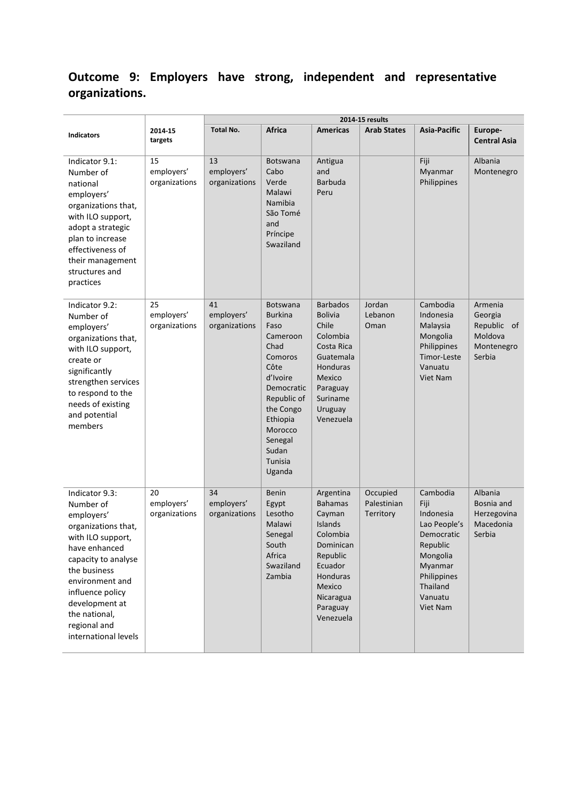# **Outcome 9: Employers have strong, independent and representative organizations.**

|                                                                                                                                                                                                                                                                 |                                   | 2014-15 results                   |                                                                                                                                                                                                 |                                                                                                                                                              |                                      |                                                                                                                                                  |                                                                      |
|-----------------------------------------------------------------------------------------------------------------------------------------------------------------------------------------------------------------------------------------------------------------|-----------------------------------|-----------------------------------|-------------------------------------------------------------------------------------------------------------------------------------------------------------------------------------------------|--------------------------------------------------------------------------------------------------------------------------------------------------------------|--------------------------------------|--------------------------------------------------------------------------------------------------------------------------------------------------|----------------------------------------------------------------------|
| <b>Indicators</b>                                                                                                                                                                                                                                               | 2014-15<br>targets                | <b>Total No.</b>                  | Africa                                                                                                                                                                                          | <b>Americas</b>                                                                                                                                              | <b>Arab States</b>                   | Asia-Pacific                                                                                                                                     | Europe-<br><b>Central Asia</b>                                       |
| Indicator 9.1:<br>Number of<br>national<br>employers'<br>organizations that,<br>with ILO support,<br>adopt a strategic<br>plan to increase<br>effectiveness of<br>their management<br>structures and<br>practices                                               | 15<br>employers'<br>organizations | 13<br>employers'<br>organizations | <b>Botswana</b><br>Cabo<br>Verde<br>Malawi<br>Namibia<br>São Tomé<br>and<br>Príncipe<br>Swaziland                                                                                               | Antigua<br>and<br><b>Barbuda</b><br>Peru                                                                                                                     |                                      | Fiji<br>Myanmar<br>Philippines                                                                                                                   | Albania<br>Montenegro                                                |
| Indicator 9.2:<br>Number of<br>employers'<br>organizations that,<br>with ILO support,<br>create or<br>significantly<br>strengthen services<br>to respond to the<br>needs of existing<br>and potential<br>members                                                | 25<br>employers'<br>organizations | 41<br>employers'<br>organizations | Botswana<br><b>Burkina</b><br>Faso<br>Cameroon<br>Chad<br>Comoros<br>Côte<br>d'Ivoire<br>Democratic<br>Republic of<br>the Congo<br>Ethiopia<br>Morocco<br>Senegal<br>Sudan<br>Tunisia<br>Uganda | <b>Barbados</b><br><b>Bolivia</b><br>Chile<br>Colombia<br>Costa Rica<br>Guatemala<br>Honduras<br>Mexico<br>Paraguay<br>Suriname<br>Uruguay<br>Venezuela      | Jordan<br>Lebanon<br>Oman            | Cambodia<br>Indonesia<br>Malaysia<br>Mongolia<br>Philippines<br>Timor-Leste<br>Vanuatu<br>Viet Nam                                               | Armenia<br>Georgia<br>Republic of<br>Moldova<br>Montenegro<br>Serbia |
| Indicator 9.3:<br>Number of<br>employers'<br>organizations that,<br>with ILO support,<br>have enhanced<br>capacity to analyse<br>the business<br>environment and<br>influence policy<br>development at<br>the national,<br>regional and<br>international levels | 20<br>employers'<br>organizations | 34<br>employers'<br>organizations | Benin<br>Egypt<br>Lesotho<br>Malawi<br>Senegal<br>South<br>Africa<br>Swaziland<br>Zambia                                                                                                        | Argentina<br><b>Bahamas</b><br>Cayman<br>Islands<br>Colombia<br>Dominican<br>Republic<br>Ecuador<br>Honduras<br>Mexico<br>Nicaragua<br>Paraguay<br>Venezuela | Occupied<br>Palestinian<br>Territory | Cambodia<br>Fiji<br>Indonesia<br>Lao People's<br>Democratic<br>Republic<br>Mongolia<br>Myanmar<br>Philippines<br>Thailand<br>Vanuatu<br>Viet Nam | Albania<br>Bosnia and<br>Herzegovina<br>Macedonia<br>Serbia          |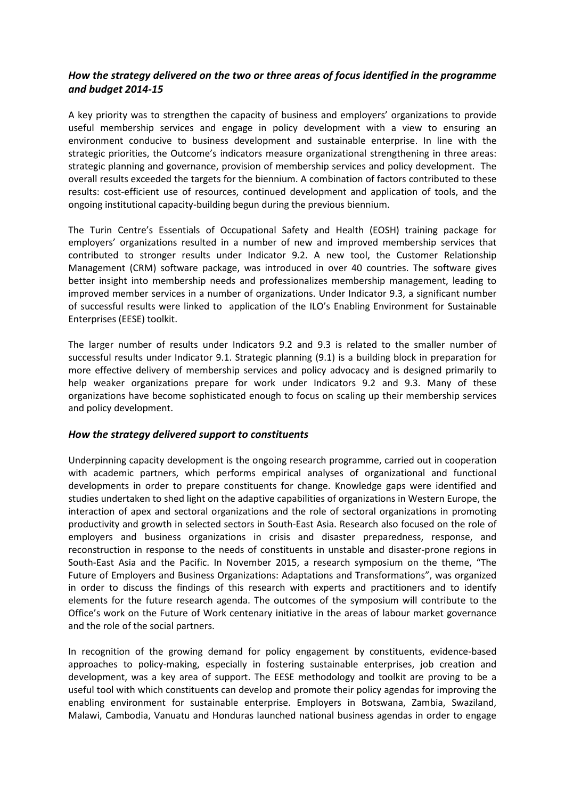## *How the strategy delivered on the two or three areas of focus identified in the programme and budget 2014-15*

A key priority was to strengthen the capacity of business and employers' organizations to provide useful membership services and engage in policy development with a view to ensuring an environment conducive to business development and sustainable enterprise. In line with the strategic priorities, the Outcome's indicators measure organizational strengthening in three areas: strategic planning and governance, provision of membership services and policy development. The overall results exceeded the targets for the biennium. A combination of factors contributed to these results: cost-efficient use of resources, continued development and application of tools, and the ongoing institutional capacity-building begun during the previous biennium.

The Turin Centre's Essentials of Occupational Safety and Health (EOSH) training package for employers' organizations resulted in a number of new and improved membership services that contributed to stronger results under Indicator 9.2. A new tool, the Customer Relationship Management (CRM) software package, was introduced in over 40 countries. The software gives better insight into membership needs and professionalizes membership management, leading to improved member services in a number of organizations. Under Indicator 9.3, a significant number of successful results were linked to application of the ILO's Enabling Environment for Sustainable Enterprises (EESE) toolkit.

The larger number of results under Indicators 9.2 and 9.3 is related to the smaller number of successful results under Indicator 9.1. Strategic planning (9.1) is a building block in preparation for more effective delivery of membership services and policy advocacy and is designed primarily to help weaker organizations prepare for work under Indicators 9.2 and 9.3. Many of these organizations have become sophisticated enough to focus on scaling up their membership services and policy development.

### *How the strategy delivered support to constituents*

Underpinning capacity development is the ongoing research programme, carried out in cooperation with academic partners, which performs empirical analyses of organizational and functional developments in order to prepare constituents for change. Knowledge gaps were identified and studies undertaken to shed light on the adaptive capabilities of organizations in Western Europe, the interaction of apex and sectoral organizations and the role of sectoral organizations in promoting productivity and growth in selected sectors in South-East Asia. Research also focused on the role of employers and business organizations in crisis and disaster preparedness, response, and reconstruction in response to the needs of constituents in unstable and disaster-prone regions in South-East Asia and the Pacific. In November 2015, a research symposium on the theme, "The Future of Employers and Business Organizations: Adaptations and Transformations", was organized in order to discuss the findings of this research with experts and practitioners and to identify elements for the future research agenda. The outcomes of the symposium will contribute to the Office's work on the Future of Work centenary initiative in the areas of labour market governance and the role of the social partners.

In recognition of the growing demand for policy engagement by constituents, evidence-based approaches to policy-making, especially in fostering sustainable enterprises, job creation and development, was a key area of support. The EESE methodology and toolkit are proving to be a useful tool with which constituents can develop and promote their policy agendas for improving the enabling environment for sustainable enterprise. Employers in Botswana, Zambia, Swaziland, Malawi, Cambodia, Vanuatu and Honduras launched national business agendas in order to engage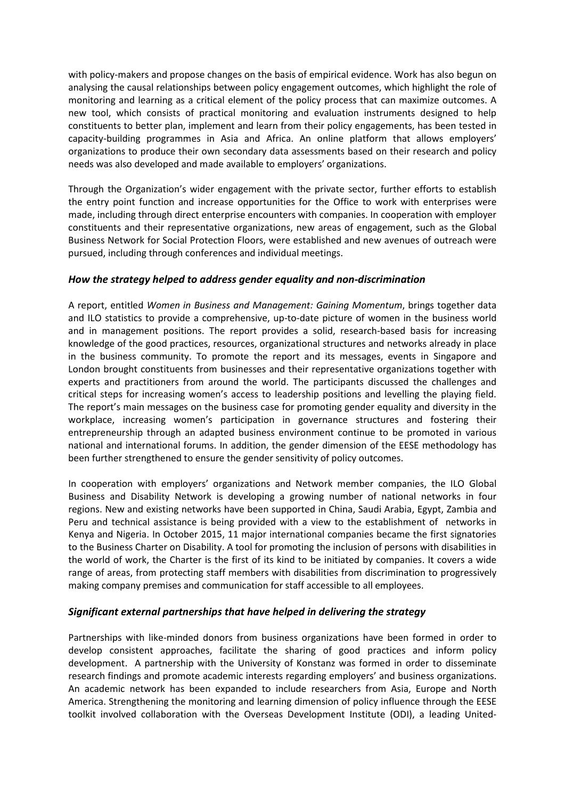with policy-makers and propose changes on the basis of empirical evidence. Work has also begun on analysing the causal relationships between policy engagement outcomes, which highlight the role of monitoring and learning as a critical element of the policy process that can maximize outcomes. A new tool, which consists of practical monitoring and evaluation instruments designed to help constituents to better plan, implement and learn from their policy engagements, has been tested in capacity-building programmes in Asia and Africa. An online platform that allows employers' organizations to produce their own secondary data assessments based on their research and policy needs was also developed and made available to employers' organizations.

Through the Organization's wider engagement with the private sector, further efforts to establish the entry point function and increase opportunities for the Office to work with enterprises were made, including through direct enterprise encounters with companies. In cooperation with employer constituents and their representative organizations, new areas of engagement, such as the Global Business Network for Social Protection Floors, were established and new avenues of outreach were pursued, including through conferences and individual meetings.

### *How the strategy helped to address gender equality and non-discrimination*

A report, entitled *Women in Business and Management: Gaining Momentum*, brings together data and ILO statistics to provide a comprehensive, up-to-date picture of women in the business world and in management positions. The report provides a solid, research-based basis for increasing knowledge of the good practices, resources, organizational structures and networks already in place in the business community. To promote the report and its messages, events in Singapore and London brought constituents from businesses and their representative organizations together with experts and practitioners from around the world. The participants discussed the challenges and critical steps for increasing women's access to leadership positions and levelling the playing field. The report's main messages on the business case for promoting gender equality and diversity in the workplace, increasing women's participation in governance structures and fostering their entrepreneurship through an adapted business environment continue to be promoted in various national and international forums. In addition, the gender dimension of the EESE methodology has been further strengthened to ensure the gender sensitivity of policy outcomes.

In cooperation with employers' organizations and Network member companies, the ILO Global Business and Disability Network is developing a growing number of national networks in four regions. New and existing networks have been supported in China, Saudi Arabia, Egypt, Zambia and Peru and technical assistance is being provided with a view to the establishment of networks in Kenya and Nigeria. In October 2015, 11 major international companies became the first signatories to the Business Charter on Disability. A tool for promoting the inclusion of persons with disabilities in the world of work, the Charter is the first of its kind to be initiated by companies. It covers a wide range of areas, from protecting staff members with disabilities from discrimination to progressively making company premises and communication for staff accessible to all employees.

### *Significant external partnerships that have helped in delivering the strategy*

Partnerships with like-minded donors from business organizations have been formed in order to develop consistent approaches, facilitate the sharing of good practices and inform policy development. A partnership with the University of Konstanz was formed in order to disseminate research findings and promote academic interests regarding employers' and business organizations. An academic network has been expanded to include researchers from Asia, Europe and North America. Strengthening the monitoring and learning dimension of policy influence through the EESE toolkit involved collaboration with the Overseas Development Institute (ODI), a leading United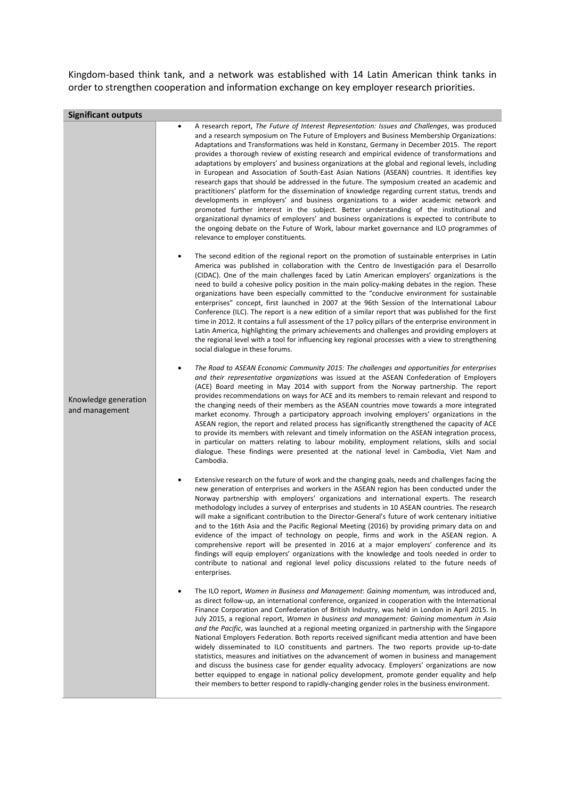Kingdom-based think tank, and a network was established with 14 Latin American think tanks in order to strengthen cooperation and information exchange on key employer research priorities.

| <b>Significant outputs</b>             |                                                                                                                                                                                                                                                                                                                                                                                                                                                                                                                                                                                                                                                                                                                                                                                                                                                                                                                                                                                                                                                                                                                                                                                                                                        |  |  |  |  |
|----------------------------------------|----------------------------------------------------------------------------------------------------------------------------------------------------------------------------------------------------------------------------------------------------------------------------------------------------------------------------------------------------------------------------------------------------------------------------------------------------------------------------------------------------------------------------------------------------------------------------------------------------------------------------------------------------------------------------------------------------------------------------------------------------------------------------------------------------------------------------------------------------------------------------------------------------------------------------------------------------------------------------------------------------------------------------------------------------------------------------------------------------------------------------------------------------------------------------------------------------------------------------------------|--|--|--|--|
| Knowledge generation<br>and management | A research report, The Future of Interest Representation: Issues and Challenges, was produced<br>$\bullet$<br>and a research symposium on The Future of Employers and Business Membership Organizations:<br>Adaptations and Transformations was held in Konstanz, Germany in December 2015. The report<br>provides a thorough review of existing research and empirical evidence of transformations and<br>adaptations by employers' and business organizations at the global and regional levels, including<br>in European and Association of South-East Asian Nations (ASEAN) countries. It identifies key<br>research gaps that should be addressed in the future. The symposium created an academic and<br>practitioners' platform for the dissemination of knowledge regarding current status, trends and<br>developments in employers' and business organizations to a wider academic network and<br>promoted further interest in the subject. Better understanding of the institutional and<br>organizational dynamics of employers' and business organizations is expected to contribute to<br>the ongoing debate on the Future of Work, labour market governance and ILO programmes of<br>relevance to employer constituents. |  |  |  |  |
|                                        | The second edition of the regional report on the promotion of sustainable enterprises in Latin<br>٠<br>America was published in collaboration with the Centro de Investigación para el Desarrollo<br>(CIDAC). One of the main challenges faced by Latin American employers' organizations is the<br>need to build a cohesive policy position in the main policy-making debates in the region. These<br>organizations have been especially committed to the "conducive environment for sustainable<br>enterprises" concept, first launched in 2007 at the 96th Session of the International Labour<br>Conference (ILC). The report is a new edition of a similar report that was published for the first<br>time in 2012. It contains a full assessment of the 17 policy pillars of the enterprise environment in<br>Latin America, highlighting the primary achievements and challenges and providing employers at<br>the regional level with a tool for influencing key regional processes with a view to strengthening<br>social dialogue in these forums.                                                                                                                                                                           |  |  |  |  |
|                                        | The Road to ASEAN Economic Community 2015: The challenges and opportunities for enterprises<br>$\bullet$<br>and their representative organizations was issued at the ASEAN Confederation of Employers<br>(ACE) Board meeting in May 2014 with support from the Norway partnership. The report<br>provides recommendations on ways for ACE and its members to remain relevant and respond to<br>the changing needs of their members as the ASEAN countries move towards a more integrated<br>market economy. Through a participatory approach involving employers' organizations in the<br>ASEAN region, the report and related process has significantly strengthened the capacity of ACE<br>to provide its members with relevant and timely information on the ASEAN integration process,<br>in particular on matters relating to labour mobility, employment relations, skills and social<br>dialogue. These findings were presented at the national level in Cambodia, Viet Nam and<br>Cambodia.                                                                                                                                                                                                                                    |  |  |  |  |
|                                        | Extensive research on the future of work and the changing goals, needs and challenges facing the<br>٠<br>new generation of enterprises and workers in the ASEAN region has been conducted under the<br>Norway partnership with employers' organizations and international experts. The research<br>methodology includes a survey of enterprises and students in 10 ASEAN countries. The research<br>will make a significant contribution to the Director-General's future of work centenary initiative<br>and to the 16th Asia and the Pacific Regional Meeting (2016) by providing primary data on and<br>evidence of the impact of technology on people, firms and work in the ASEAN region. A<br>comprehensive report will be presented in 2016 at a major employers' conference and its<br>findings will equip employers' organizations with the knowledge and tools needed in order to<br>contribute to national and regional level policy discussions related to the future needs of<br>enterprises.                                                                                                                                                                                                                             |  |  |  |  |
|                                        | The ILO report, Women in Business and Management: Gaining momentum, was introduced and,<br>as direct follow-up, an international conference, organized in cooperation with the International<br>Finance Corporation and Confederation of British Industry, was held in London in April 2015. In<br>July 2015, a regional report, Women in business and management: Gaining momentum in Asia<br>and the Pacific, was launched at a regional meeting organized in partnership with the Singapore<br>National Employers Federation. Both reports received significant media attention and have been<br>widely disseminated to ILO constituents and partners. The two reports provide up-to-date<br>statistics, measures and initiatives on the advancement of women in business and management<br>and discuss the business case for gender equality advocacy. Employers' organizations are now<br>better equipped to engage in national policy development, promote gender equality and help<br>their members to better respond to rapidly-changing gender roles in the business environment.                                                                                                                                             |  |  |  |  |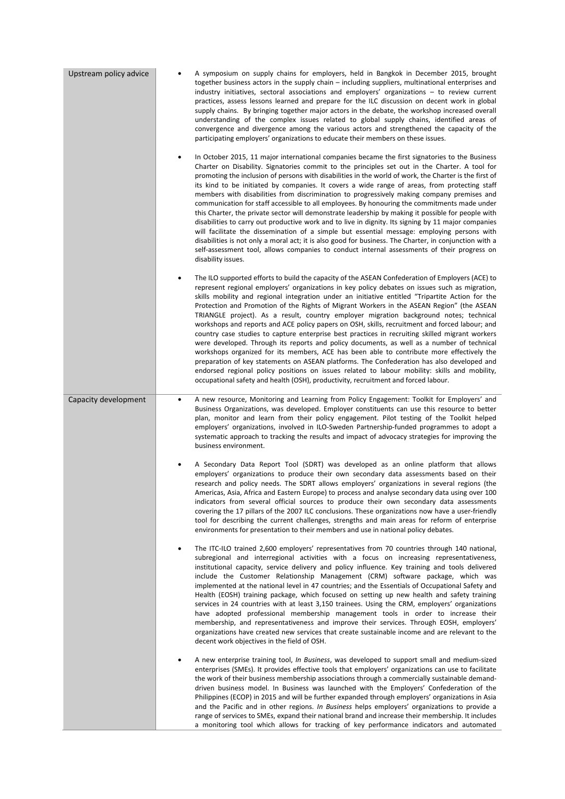| Upstream policy advice | A symposium on supply chains for employers, held in Bangkok in December 2015, brought<br>٠<br>together business actors in the supply chain – including suppliers, multinational enterprises and<br>industry initiatives, sectoral associations and employers' organizations $-$ to review current<br>practices, assess lessons learned and prepare for the ILC discussion on decent work in global<br>supply chains. By bringing together major actors in the debate, the workshop increased overall<br>understanding of the complex issues related to global supply chains, identified areas of<br>convergence and divergence among the various actors and strengthened the capacity of the<br>participating employers' organizations to educate their members on these issues.<br>In October 2015, 11 major international companies became the first signatories to the Business<br>$\bullet$<br>Charter on Disability. Signatories commit to the principles set out in the Charter. A tool for<br>promoting the inclusion of persons with disabilities in the world of work, the Charter is the first of<br>its kind to be initiated by companies. It covers a wide range of areas, from protecting staff<br>members with disabilities from discrimination to progressively making company premises and<br>communication for staff accessible to all employees. By honouring the commitments made under<br>this Charter, the private sector will demonstrate leadership by making it possible for people with<br>disabilities to carry out productive work and to live in dignity. Its signing by 11 major companies<br>will facilitate the dissemination of a simple but essential message: employing persons with<br>disabilities is not only a moral act; it is also good for business. The Charter, in conjunction with a<br>self-assessment tool, allows companies to conduct internal assessments of their progress on<br>disability issues.<br>The ILO supported efforts to build the capacity of the ASEAN Confederation of Employers (ACE) to<br>$\bullet$<br>represent regional employers' organizations in key policy debates on issues such as migration, |
|------------------------|--------------------------------------------------------------------------------------------------------------------------------------------------------------------------------------------------------------------------------------------------------------------------------------------------------------------------------------------------------------------------------------------------------------------------------------------------------------------------------------------------------------------------------------------------------------------------------------------------------------------------------------------------------------------------------------------------------------------------------------------------------------------------------------------------------------------------------------------------------------------------------------------------------------------------------------------------------------------------------------------------------------------------------------------------------------------------------------------------------------------------------------------------------------------------------------------------------------------------------------------------------------------------------------------------------------------------------------------------------------------------------------------------------------------------------------------------------------------------------------------------------------------------------------------------------------------------------------------------------------------------------------------------------------------------------------------------------------------------------------------------------------------------------------------------------------------------------------------------------------------------------------------------------------------------------------------------------------------------------------------------------------------------------------------------------------------------------------------------------------------------------------------------------------------------|
|                        | skills mobility and regional integration under an initiative entitled "Tripartite Action for the<br>Protection and Promotion of the Rights of Migrant Workers in the ASEAN Region" (the ASEAN<br>TRIANGLE project). As a result, country employer migration background notes; technical<br>workshops and reports and ACE policy papers on OSH, skills, recruitment and forced labour; and<br>country case studies to capture enterprise best practices in recruiting skilled migrant workers<br>were developed. Through its reports and policy documents, as well as a number of technical<br>workshops organized for its members, ACE has been able to contribute more effectively the<br>preparation of key statements on ASEAN platforms. The Confederation has also developed and<br>endorsed regional policy positions on issues related to labour mobility: skills and mobility,<br>occupational safety and health (OSH), productivity, recruitment and forced labour.                                                                                                                                                                                                                                                                                                                                                                                                                                                                                                                                                                                                                                                                                                                                                                                                                                                                                                                                                                                                                                                                                                                                                                                             |
| Capacity development   | A new resource, Monitoring and Learning from Policy Engagement: Toolkit for Employers' and<br>$\bullet$<br>Business Organizations, was developed. Employer constituents can use this resource to better<br>plan, monitor and learn from their policy engagement. Pilot testing of the Toolkit helped<br>employers' organizations, involved in ILO-Sweden Partnership-funded programmes to adopt a<br>systematic approach to tracking the results and impact of advocacy strategies for improving the<br>business environment.                                                                                                                                                                                                                                                                                                                                                                                                                                                                                                                                                                                                                                                                                                                                                                                                                                                                                                                                                                                                                                                                                                                                                                                                                                                                                                                                                                                                                                                                                                                                                                                                                                            |
|                        | A Secondary Data Report Tool (SDRT) was developed as an online platform that allows<br>٠<br>employers' organizations to produce their own secondary data assessments based on their<br>research and policy needs. The SDRT allows employers' organizations in several regions (the<br>Americas, Asia, Africa and Eastern Europe) to process and analyse secondary data using over 100<br>indicators from several official sources to produce their own secondary data assessments<br>covering the 17 pillars of the 2007 ILC conclusions. These organizations now have a user-friendly<br>tool for describing the current challenges, strengths and main areas for reform of enterprise<br>environments for presentation to their members and use in national policy debates.                                                                                                                                                                                                                                                                                                                                                                                                                                                                                                                                                                                                                                                                                                                                                                                                                                                                                                                                                                                                                                                                                                                                                                                                                                                                                                                                                                                            |
|                        | The ITC-ILO trained 2,600 employers' representatives from 70 countries through 140 national,<br>$\bullet$<br>subregional and interregional activities with a focus on increasing representativeness,<br>institutional capacity, service delivery and policy influence. Key training and tools delivered<br>include the Customer Relationship Management (CRM) software package, which was<br>implemented at the national level in 47 countries; and the Essentials of Occupational Safety and<br>Health (EOSH) training package, which focused on setting up new health and safety training<br>services in 24 countries with at least 3,150 trainees. Using the CRM, employers' organizations<br>have adopted professional membership management tools in order to increase their<br>membership, and representativeness and improve their services. Through EOSH, employers'<br>organizations have created new services that create sustainable income and are relevant to the<br>decent work objectives in the field of OSH.                                                                                                                                                                                                                                                                                                                                                                                                                                                                                                                                                                                                                                                                                                                                                                                                                                                                                                                                                                                                                                                                                                                                            |
|                        | A new enterprise training tool, <i>In Business</i> , was developed to support small and medium-sized<br>$\bullet$<br>enterprises (SMEs). It provides effective tools that employers' organizations can use to facilitate<br>the work of their business membership associations through a commercially sustainable demand-<br>driven business model. In Business was launched with the Employers' Confederation of the<br>Philippines (ECOP) in 2015 and will be further expanded through employers' organizations in Asia<br>and the Pacific and in other regions. In Business helps employers' organizations to provide a<br>range of services to SMEs, expand their national brand and increase their membership. It includes<br>a monitoring tool which allows for tracking of key performance indicators and automated                                                                                                                                                                                                                                                                                                                                                                                                                                                                                                                                                                                                                                                                                                                                                                                                                                                                                                                                                                                                                                                                                                                                                                                                                                                                                                                                               |